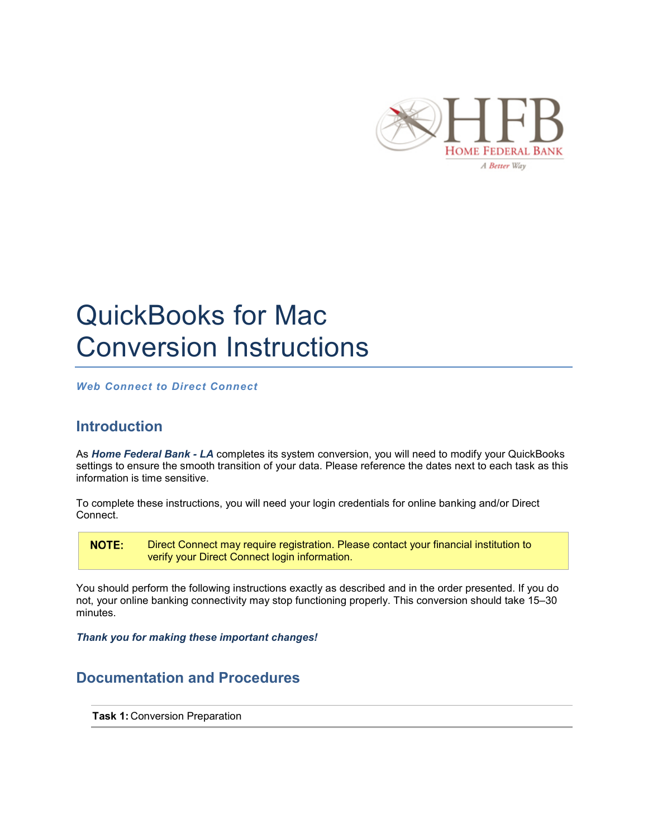

## QuickBooks for Mac Conversion Instructions

*Web Connect to Direct Connect*

## **Introduction**

As *Home Federal Bank - LA* completes its system conversion, you will need to modify your QuickBooks settings to ensure the smooth transition of your data. Please reference the dates next to each task as this information is time sensitive.

To complete these instructions, you will need your login credentials for online banking and/or Direct Connect.

**NOTE:** Direct Connect may require registration. Please contact your financial institution to verify your Direct Connect login information.

You should perform the following instructions exactly as described and in the order presented. If you do not, your online banking connectivity may stop functioning properly. This conversion should take 15–30 minutes.

*Thank you for making these important changes!*

## **Documentation and Procedures**

**Task 1:** Conversion Preparation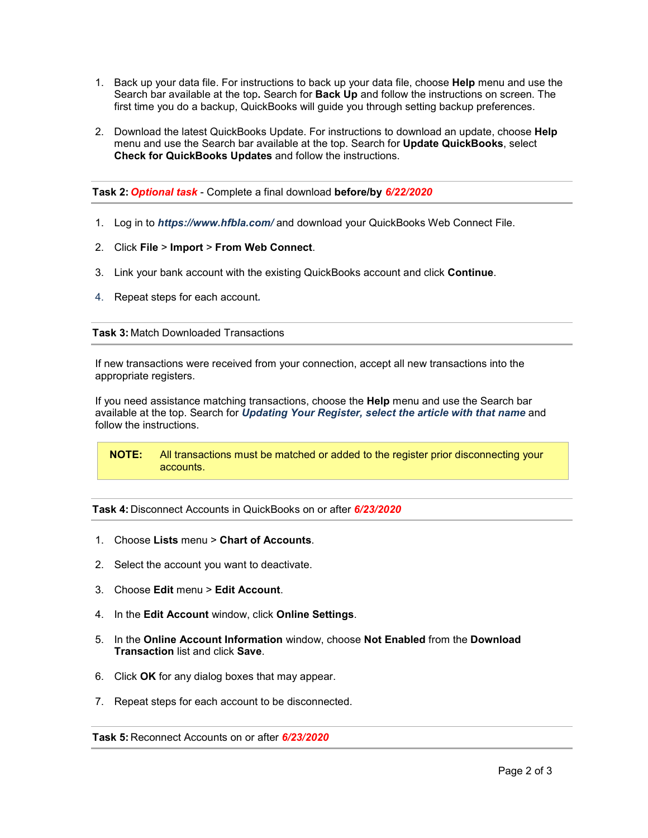- 1. Back up your data file. For instructions to back up your data file, choose **Help** menu and use the Search bar available at the top**.** Search for **Back Up** and follow the instructions on screen. The first time you do a backup, QuickBooks will guide you through setting backup preferences.
- 2. Download the latest QuickBooks Update. For instructions to download an update, choose **Help** menu and use the Search bar available at the top. Search for **Update QuickBooks**, select **Check for QuickBooks Updates** and follow the instructions.

**Task 2:** *Optional task* - Complete a final download **before/by** *6/22/2020*

- 1. Log in to *https://www.hfbla.com/* and download your QuickBooks Web Connect File.
- 2. Click **File** > **Import** > **From Web Connect**.
- 3. Link your bank account with the existing QuickBooks account and click **Continue**.
- 4. Repeat steps for each account*.*

## **Task 3:** Match Downloaded Transactions

If new transactions were received from your connection, accept all new transactions into the appropriate registers.

If you need assistance matching transactions, choose the **Help** menu and use the Search bar available at the top. Search for *Updating Your Register, select the article with that name* and follow the instructions.

**NOTE:** All transactions must be matched or added to the register prior disconnecting your accounts.

**Task 4:** Disconnect Accounts in QuickBooks on or after *6/23/2020*

- 1. Choose **Lists** menu > **Chart of Accounts**.
- 2. Select the account you want to deactivate.
- 3. Choose **Edit** menu > **Edit Account**.
- 4. In the **Edit Account** window, click **Online Settings**.
- 5. In the **Online Account Information** window, choose **Not Enabled** from the **Download Transaction** list and click **Save**.
- 6. Click **OK** for any dialog boxes that may appear.
- 7. Repeat steps for each account to be disconnected.

**Task 5:** Reconnect Accounts on or after *6/23/2020*